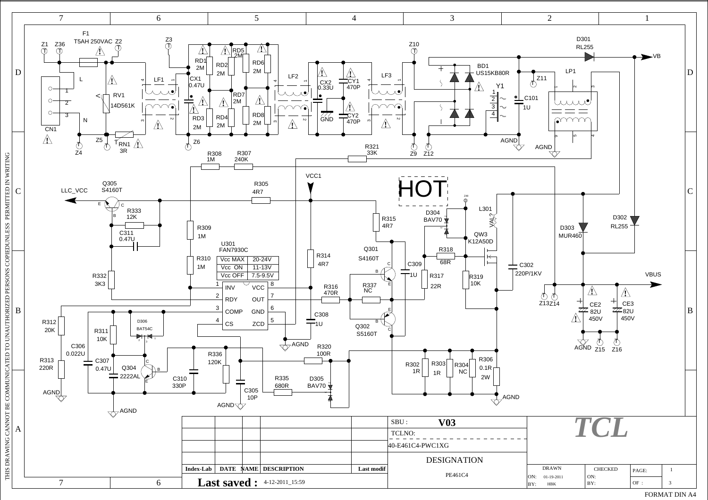

FORMAT DIN A4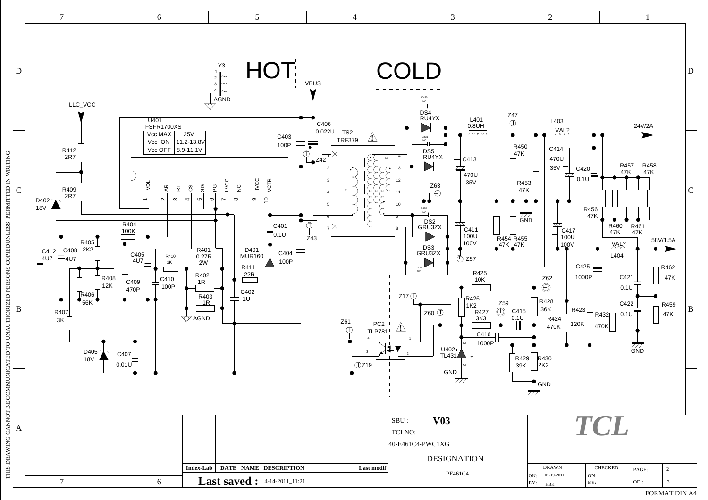